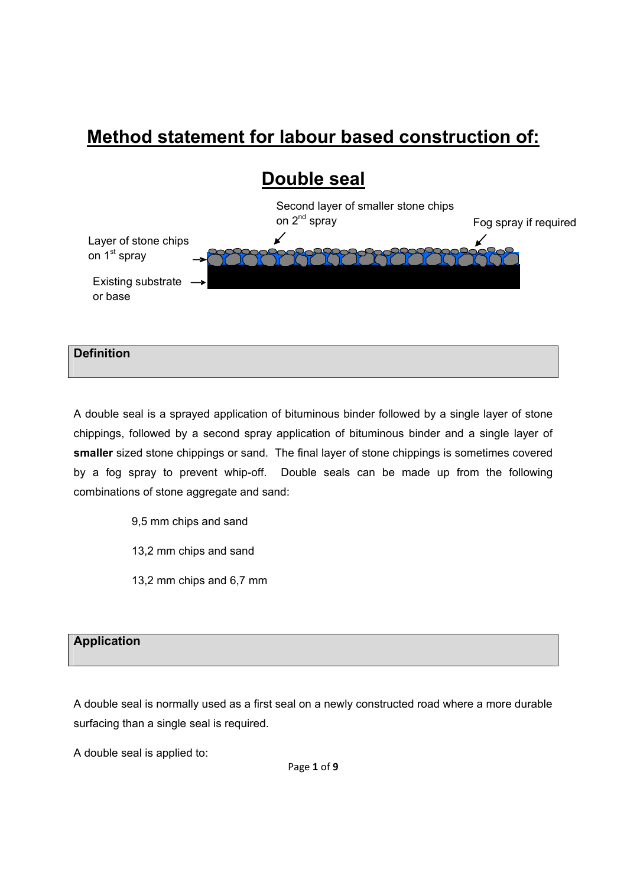# **Method statement for labour based construction of:**



A double seal is a sprayed application of bituminous binder followed by a single layer of stone chippings, followed by a second spray application of bituminous binder and a single layer of **smaller** sized stone chippings or sand. The final layer of stone chippings is sometimes covered by a fog spray to prevent whip-off. Double seals can be made up from the following combinations of stone aggregate and sand:

- 9,5 mm chips and sand
- 13,2 mm chips and sand
- 13,2 mm chips and 6,7 mm

## **Application**

**Definition** 

A double seal is normally used as a first seal on a newly constructed road where a more durable surfacing than a single seal is required.

A double seal is applied to: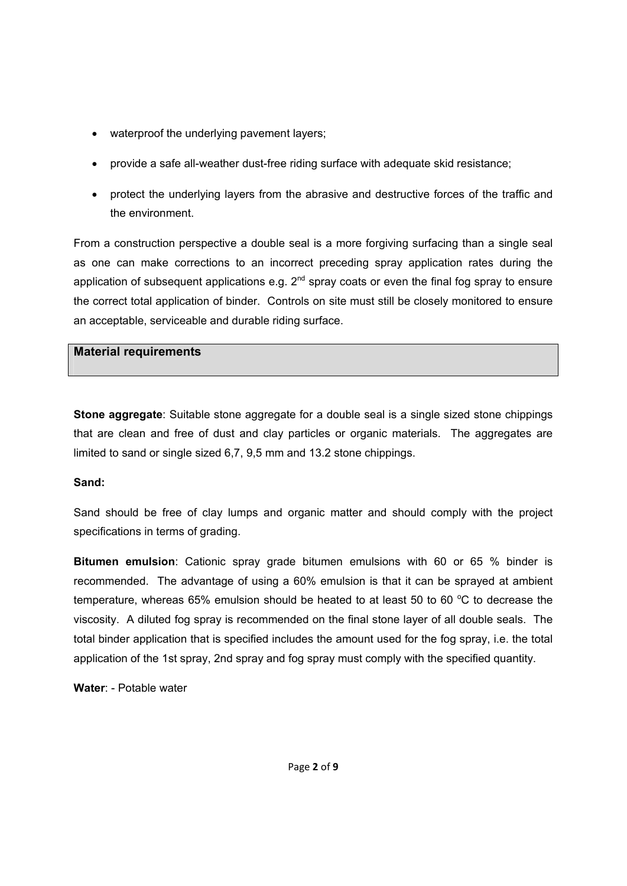- waterproof the underlying pavement layers;
- provide a safe all-weather dust-free riding surface with adequate skid resistance;
- protect the underlying layers from the abrasive and destructive forces of the traffic and the environment.

From a construction perspective a double seal is a more forgiving surfacing than a single seal as one can make corrections to an incorrect preceding spray application rates during the application of subsequent applications e.g.  $2^{nd}$  spray coats or even the final fog spray to ensure the correct total application of binder. Controls on site must still be closely monitored to ensure an acceptable, serviceable and durable riding surface.

#### **Material requirements**

**Stone aggregate**: Suitable stone aggregate for a double seal is a single sized stone chippings that are clean and free of dust and clay particles or organic materials. The aggregates are limited to sand or single sized 6,7, 9,5 mm and 13.2 stone chippings.

#### **Sand:**

Sand should be free of clay lumps and organic matter and should comply with the project specifications in terms of grading.

**Bitumen emulsion**: Cationic spray grade bitumen emulsions with 60 or 65 % binder is recommended. The advantage of using a 60% emulsion is that it can be sprayed at ambient temperature, whereas 65% emulsion should be heated to at least 50 to 60  $^{\circ}$ C to decrease the viscosity. A diluted fog spray is recommended on the final stone layer of all double seals. The total binder application that is specified includes the amount used for the fog spray, i.e. the total application of the 1st spray, 2nd spray and fog spray must comply with the specified quantity.

**Water**: - Potable water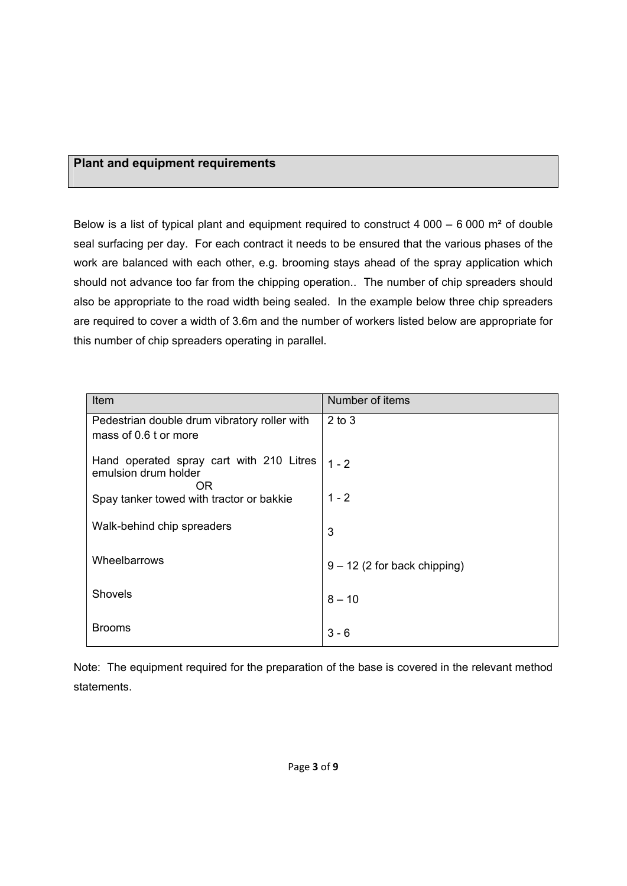#### **Plant and equipment requirements**

Below is a list of typical plant and equipment required to construct 4 000 – 6 000  $\text{m}^2$  of double seal surfacing per day. For each contract it needs to be ensured that the various phases of the work are balanced with each other, e.g. brooming stays ahead of the spray application which should not advance too far from the chipping operation.. The number of chip spreaders should also be appropriate to the road width being sealed. In the example below three chip spreaders are required to cover a width of 3.6m and the number of workers listed below are appropriate for this number of chip spreaders operating in parallel.

| Item                                                                   | Number of items                |
|------------------------------------------------------------------------|--------------------------------|
| Pedestrian double drum vibratory roller with<br>mass of 0.6 t or more  | $2$ to $3$                     |
| Hand operated spray cart with 210 Litres<br>emulsion drum holder<br>0R | $1 - 2$                        |
| Spay tanker towed with tractor or bakkie                               | $1 - 2$                        |
| Walk-behind chip spreaders                                             | 3                              |
| Wheelbarrows                                                           | $9 - 12$ (2 for back chipping) |
| Shovels                                                                | $8 - 10$                       |
| <b>Brooms</b>                                                          | $3 - 6$                        |

Note: The equipment required for the preparation of the base is covered in the relevant method statements.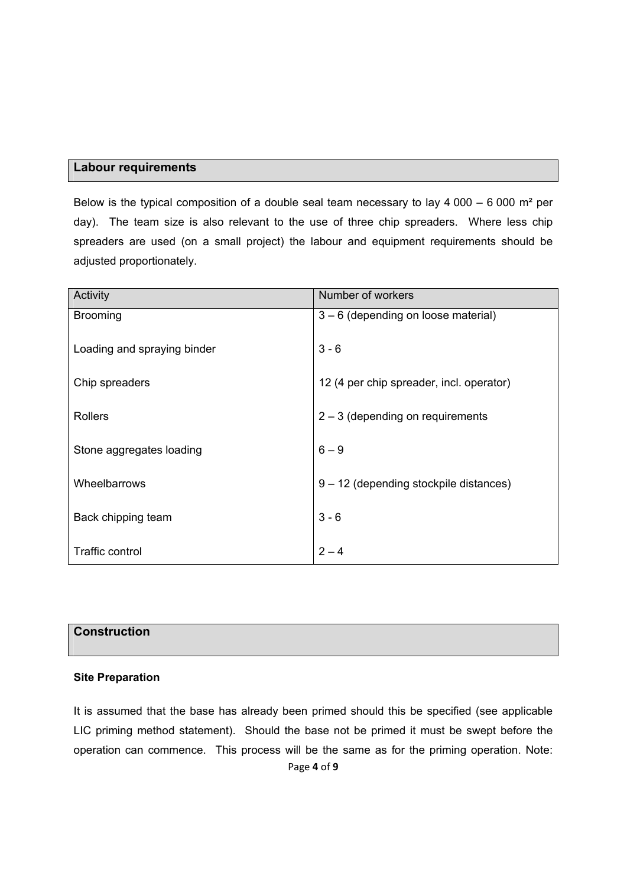#### **Labour requirements**

Below is the typical composition of a double seal team necessary to lay  $4000 - 6000$  m<sup>2</sup> per day). The team size is also relevant to the use of three chip spreaders. Where less chip spreaders are used (on a small project) the labour and equipment requirements should be adjusted proportionately.

| Activity                    | Number of workers                        |
|-----------------------------|------------------------------------------|
| <b>Brooming</b>             | 3 - 6 (depending on loose material)      |
| Loading and spraying binder | $3 - 6$                                  |
| Chip spreaders              | 12 (4 per chip spreader, incl. operator) |
|                             |                                          |
| <b>Rollers</b>              | $2 - 3$ (depending on requirements       |
|                             |                                          |
| Stone aggregates loading    | $6 - 9$                                  |
|                             |                                          |
| Wheelbarrows                | 9 - 12 (depending stockpile distances)   |
|                             |                                          |
| Back chipping team          | $3 - 6$                                  |
|                             |                                          |
| <b>Traffic control</b>      | $2 - 4$                                  |

# **Construction**

#### **Site Preparation**

It is assumed that the base has already been primed should this be specified (see applicable LIC priming method statement). Should the base not be primed it must be swept before the operation can commence. This process will be the same as for the priming operation. Note: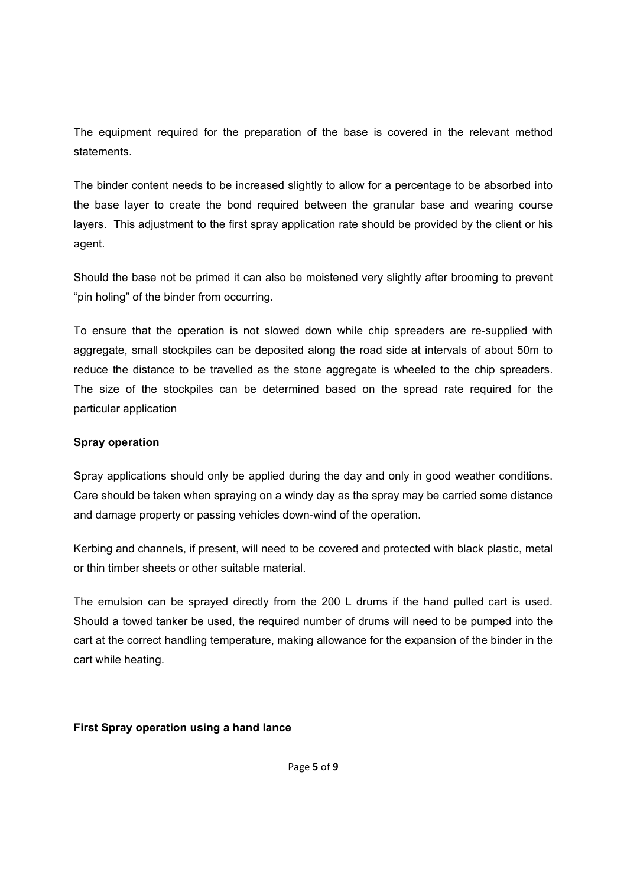The equipment required for the preparation of the base is covered in the relevant method statements.

The binder content needs to be increased slightly to allow for a percentage to be absorbed into the base layer to create the bond required between the granular base and wearing course layers. This adjustment to the first spray application rate should be provided by the client or his agent.

Should the base not be primed it can also be moistened very slightly after brooming to prevent "pin holing" of the binder from occurring.

To ensure that the operation is not slowed down while chip spreaders are re-supplied with aggregate, small stockpiles can be deposited along the road side at intervals of about 50m to reduce the distance to be travelled as the stone aggregate is wheeled to the chip spreaders. The size of the stockpiles can be determined based on the spread rate required for the particular application

#### **Spray operation**

Spray applications should only be applied during the day and only in good weather conditions. Care should be taken when spraying on a windy day as the spray may be carried some distance and damage property or passing vehicles down-wind of the operation.

Kerbing and channels, if present, will need to be covered and protected with black plastic, metal or thin timber sheets or other suitable material.

The emulsion can be sprayed directly from the 200 L drums if the hand pulled cart is used. Should a towed tanker be used, the required number of drums will need to be pumped into the cart at the correct handling temperature, making allowance for the expansion of the binder in the cart while heating.

#### **First Spray operation using a hand lance**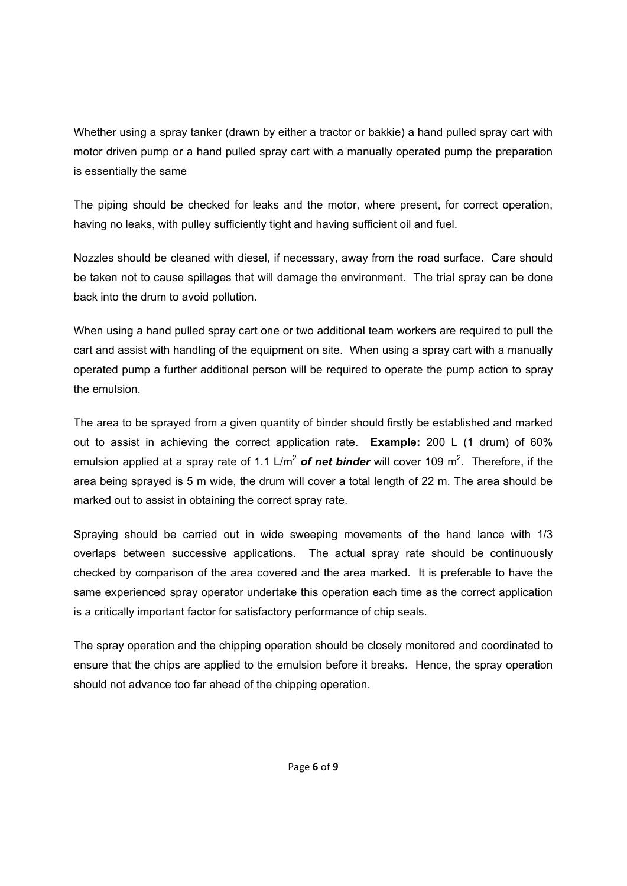Whether using a spray tanker (drawn by either a tractor or bakkie) a hand pulled spray cart with motor driven pump or a hand pulled spray cart with a manually operated pump the preparation is essentially the same

The piping should be checked for leaks and the motor, where present, for correct operation, having no leaks, with pulley sufficiently tight and having sufficient oil and fuel.

Nozzles should be cleaned with diesel, if necessary, away from the road surface. Care should be taken not to cause spillages that will damage the environment. The trial spray can be done back into the drum to avoid pollution.

When using a hand pulled spray cart one or two additional team workers are required to pull the cart and assist with handling of the equipment on site. When using a spray cart with a manually operated pump a further additional person will be required to operate the pump action to spray the emulsion.

The area to be sprayed from a given quantity of binder should firstly be established and marked out to assist in achieving the correct application rate. **Example:** 200 L (1 drum) of 60% emulsion applied at a spray rate of 1.1 L/m<sup>2</sup> of net binder will cover 109 m<sup>2</sup>. Therefore, if the area being sprayed is 5 m wide, the drum will cover a total length of 22 m. The area should be marked out to assist in obtaining the correct spray rate.

Spraying should be carried out in wide sweeping movements of the hand lance with 1/3 overlaps between successive applications. The actual spray rate should be continuously checked by comparison of the area covered and the area marked. It is preferable to have the same experienced spray operator undertake this operation each time as the correct application is a critically important factor for satisfactory performance of chip seals.

The spray operation and the chipping operation should be closely monitored and coordinated to ensure that the chips are applied to the emulsion before it breaks. Hence, the spray operation should not advance too far ahead of the chipping operation.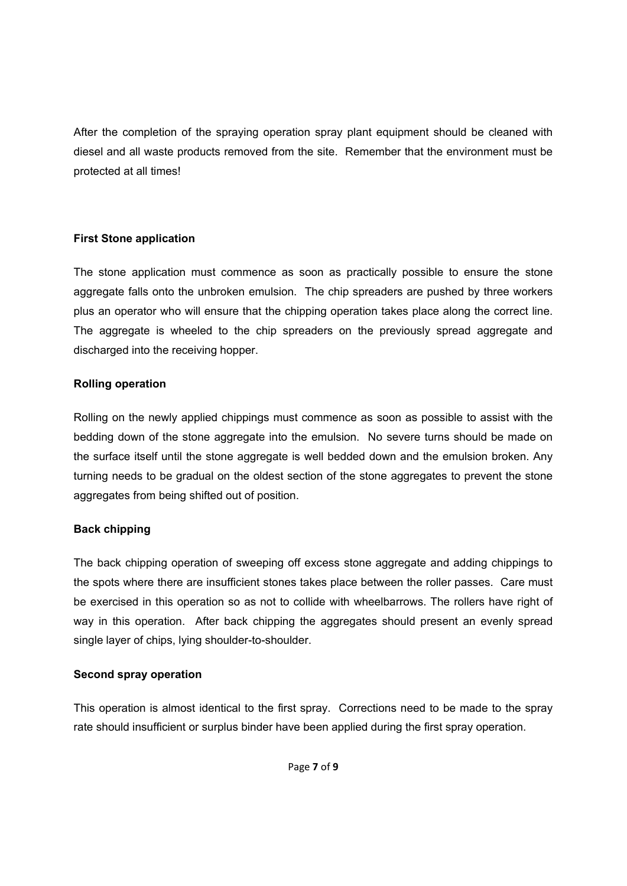After the completion of the spraying operation spray plant equipment should be cleaned with diesel and all waste products removed from the site. Remember that the environment must be protected at all times!

#### **First Stone application**

The stone application must commence as soon as practically possible to ensure the stone aggregate falls onto the unbroken emulsion. The chip spreaders are pushed by three workers plus an operator who will ensure that the chipping operation takes place along the correct line. The aggregate is wheeled to the chip spreaders on the previously spread aggregate and discharged into the receiving hopper.

#### **Rolling operation**

Rolling on the newly applied chippings must commence as soon as possible to assist with the bedding down of the stone aggregate into the emulsion. No severe turns should be made on the surface itself until the stone aggregate is well bedded down and the emulsion broken. Any turning needs to be gradual on the oldest section of the stone aggregates to prevent the stone aggregates from being shifted out of position.

#### **Back chipping**

The back chipping operation of sweeping off excess stone aggregate and adding chippings to the spots where there are insufficient stones takes place between the roller passes. Care must be exercised in this operation so as not to collide with wheelbarrows. The rollers have right of way in this operation. After back chipping the aggregates should present an evenly spread single layer of chips, lying shoulder-to-shoulder.

#### **Second spray operation**

This operation is almost identical to the first spray. Corrections need to be made to the spray rate should insufficient or surplus binder have been applied during the first spray operation.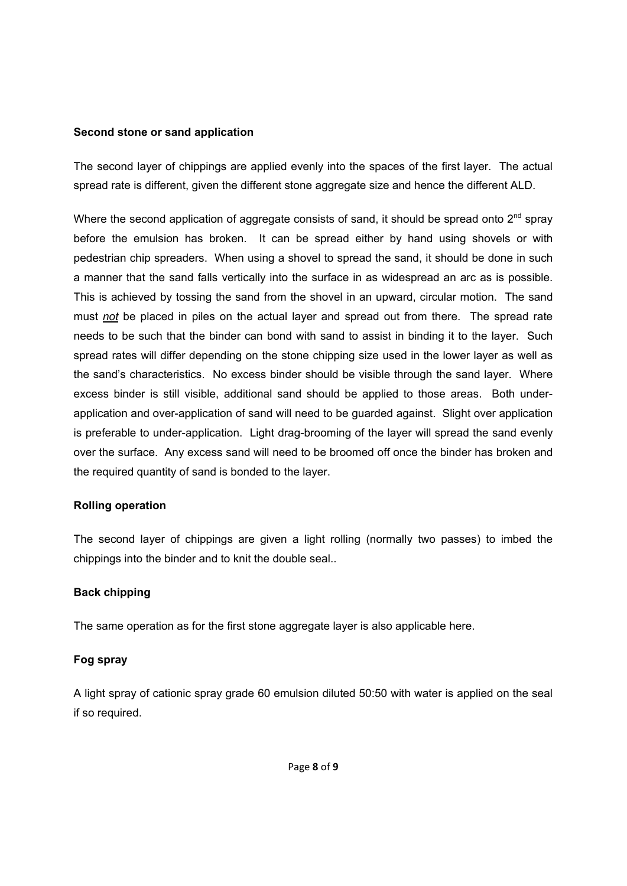#### **Second stone or sand application**

The second layer of chippings are applied evenly into the spaces of the first layer. The actual spread rate is different, given the different stone aggregate size and hence the different ALD.

Where the second application of aggregate consists of sand, it should be spread onto  $2^{nd}$  spray before the emulsion has broken. It can be spread either by hand using shovels or with pedestrian chip spreaders. When using a shovel to spread the sand, it should be done in such a manner that the sand falls vertically into the surface in as widespread an arc as is possible. This is achieved by tossing the sand from the shovel in an upward, circular motion. The sand must *not* be placed in piles on the actual layer and spread out from there. The spread rate needs to be such that the binder can bond with sand to assist in binding it to the layer. Such spread rates will differ depending on the stone chipping size used in the lower layer as well as the sand's characteristics. No excess binder should be visible through the sand layer. Where excess binder is still visible, additional sand should be applied to those areas. Both underapplication and over-application of sand will need to be guarded against. Slight over application is preferable to under-application. Light drag-brooming of the layer will spread the sand evenly over the surface. Any excess sand will need to be broomed off once the binder has broken and the required quantity of sand is bonded to the layer.

#### **Rolling operation**

The second layer of chippings are given a light rolling (normally two passes) to imbed the chippings into the binder and to knit the double seal..

#### **Back chipping**

The same operation as for the first stone aggregate layer is also applicable here.

#### **Fog spray**

A light spray of cationic spray grade 60 emulsion diluted 50:50 with water is applied on the seal if so required.